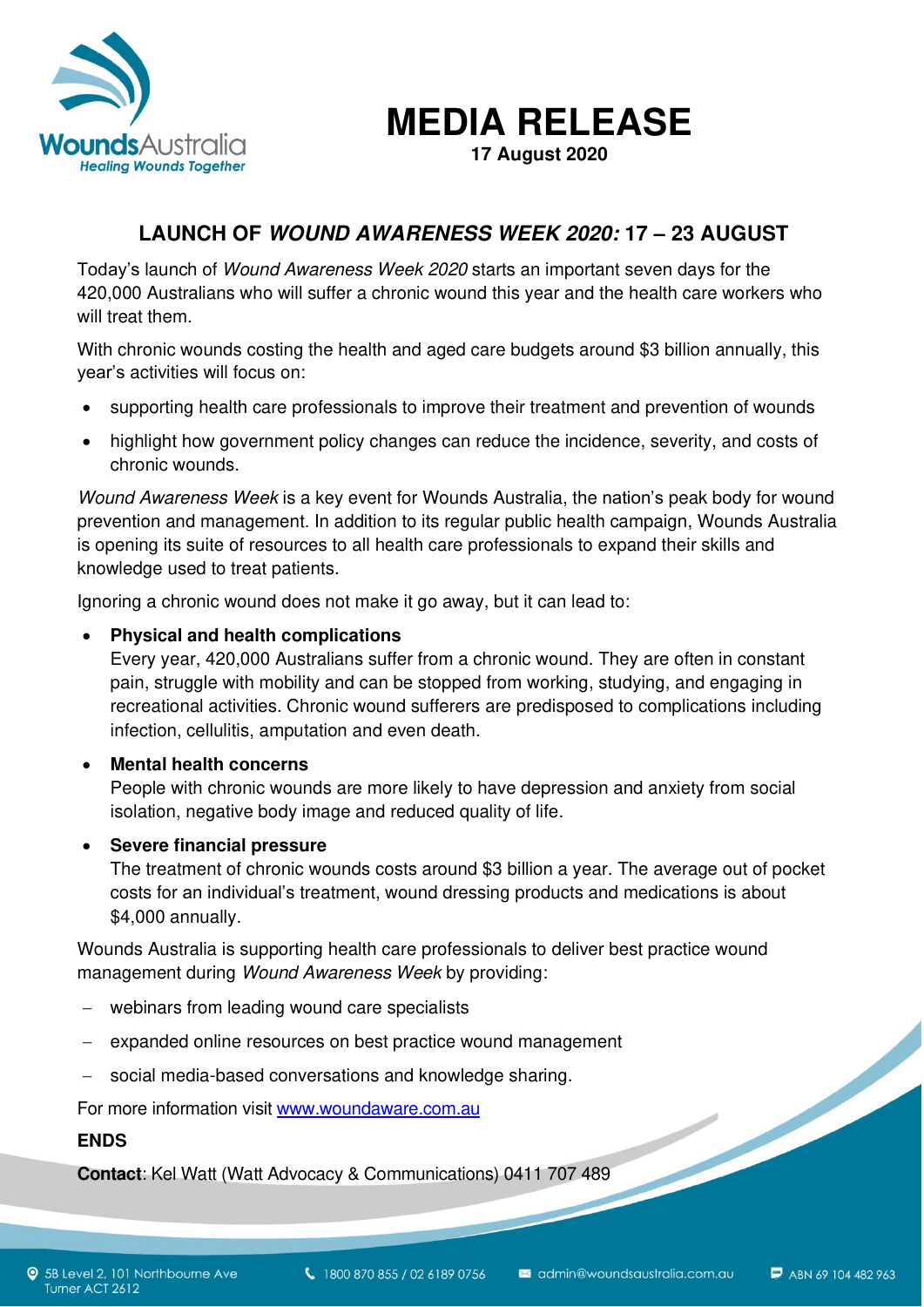

**MEDIA RELEASE** 

**17 August 2020**

# **LAUNCH OF WOUND AWARENESS WEEK 2020: 17 – 23 AUGUST**

Today's launch of Wound Awareness Week 2020 starts an important seven days for the 420,000 Australians who will suffer a chronic wound this year and the health care workers who will treat them.

With chronic wounds costing the health and aged care budgets around \$3 billion annually, this year's activities will focus on:

- supporting health care professionals to improve their treatment and prevention of wounds
- highlight how government policy changes can reduce the incidence, severity, and costs of chronic wounds.

Wound Awareness Week is a key event for Wounds Australia, the nation's peak body for wound prevention and management. In addition to its regular public health campaign, Wounds Australia is opening its suite of resources to all health care professionals to expand their skills and knowledge used to treat patients.

Ignoring a chronic wound does not make it go away, but it can lead to:

## • **Physical and health complications**

Every year, 420,000 Australians suffer from a chronic wound. They are often in constant pain, struggle with mobility and can be stopped from working, studying, and engaging in recreational activities. Chronic wound sufferers are predisposed to complications including infection, cellulitis, amputation and even death.

## • **Mental health concerns**

People with chronic wounds are more likely to have depression and anxiety from social isolation, negative body image and reduced quality of life.

## • **Severe financial pressure**

The treatment of chronic wounds costs around \$3 billion a year. The average out of pocket costs for an individual's treatment, wound dressing products and medications is about \$4,000 annually.

Wounds Australia is supporting health care professionals to deliver best practice wound management during Wound Awareness Week by providing:

- − webinars from leading wound care specialists
- expanded online resources on best practice wound management
- social media-based conversations and knowledge sharing.

For more information visit www.woundaware.com.au

## **ENDS**

**Contact**: Kel Watt (Watt Advocacy & Communications) 0411 707 489